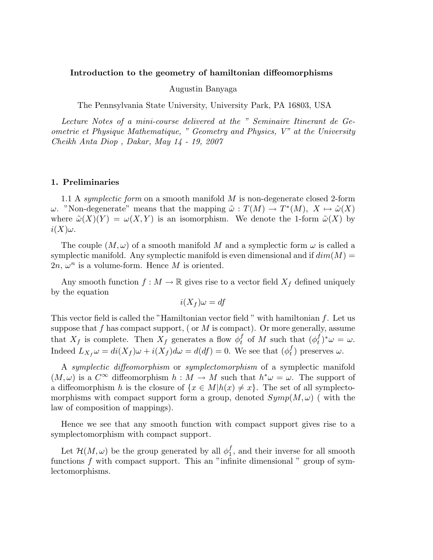#### Introduction to the geometry of hamiltonian diffeomorphisms

### Augustin Banyaga

The Pennsylvania State University, University Park, PA 16803, USA

Lecture Notes of a mini-course delivered at the " Seminaire Itinerant de Geometrie et Physique Mathematique, " Geometry and Physics, V" at the University Cheikh Anta Diop , Dakar, May 14 - 19, 2007

### 1. Preliminaries

1.1 A symplectic form on a smooth manifold  $M$  is non-degenerate closed 2-form ω. "Non-degenerate" means that the mapping  $\tilde{\omega} : T(M) \to T^*(M)$ ,  $X \mapsto \tilde{\omega}(X)$ where  $\tilde{\omega}(X)(Y) = \omega(X, Y)$  is an isomorphism. We denote the 1-form  $\tilde{\omega}(X)$  by  $i(X)\omega$ .

The couple  $(M, \omega)$  of a smooth manifold M and a symplectic form  $\omega$  is called a symplectic manifold. Any symplectic manifold is even dimensional and if  $dim(M)$  =  $2n, \omega^n$  is a volume-form. Hence M is oriented.

Any smooth function  $f : M \to \mathbb{R}$  gives rise to a vector field  $X_f$  defined uniquely by the equation

$$
i(X_f)\omega = df
$$

This vector field is called the "Hamiltonian vector field " with hamiltonian f. Let us suppose that f has compact support, ( or  $M$  is compact). Or more generally, assume that  $X_f$  is complete. Then  $X_f$  generates a flow  $\phi_t^f$  $\int_t^f$  of M such that  $(\phi_t^f)$  $_{t}^{f})^{\ast }\omega =\omega .$ Indeed  $L_{X_f}\omega = di(X_f)\omega + i(X_f)d\omega = d(df) = 0$ . We see that  $(\phi_t^f)$  $_t^J$ ) preserves  $\omega$ .

A symplectic diffeomorphism or symplectomorphism of a symplectic manifold  $(M, \omega)$  is a  $C^{\infty}$  diffeomorphism  $h : M \to M$  such that  $h^* \omega = \omega$ . The support of a diffeomorphism h is the closure of  $\{x \in M | h(x) \neq x\}$ . The set of all symplectomorphisms with compact support form a group, denoted  $Symp(M, \omega)$  (with the law of composition of mappings).

Hence we see that any smooth function with compact support gives rise to a symplectomorphism with compact support.

Let  $\mathcal{H}(M,\omega)$  be the group generated by all  $\phi_1^f$  $_1^J$ , and their inverse for all smooth functions  $f$  with compact support. This an "infinite dimensional" group of symlectomorphisms.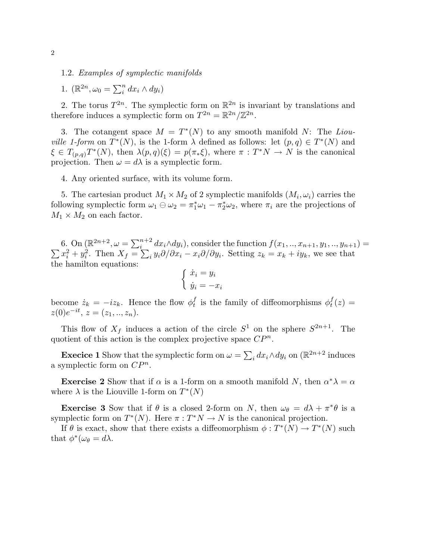1.2. Examples of symplectic manifolds

1.  $(\mathbb{R}^{2n}, \omega_0 = \sum_i^n dx_i \wedge dy_i)$ 

2. The torus  $T^{2n}$ . The symplectic form on  $\mathbb{R}^{2n}$  is invariant by translations and therefore induces a symplectic form on  $T^{2n} = \mathbb{R}^{2n} / \mathbb{Z}^{2n}$ .

3. The cotangent space  $M = T^*(N)$  to any smooth manifold N: The Liou*ville 1-form* on  $T^*(N)$ , is the 1-form  $\lambda$  defined as follows: let  $(p, q) \in T^*(N)$  and  $\xi \in T_{(p,q)}T^*(N)$ , then  $\lambda(p,q)(\xi) = p(\pi_*\xi)$ , where  $\pi : T^*N \to N$  is the canonical projection. Then  $\omega = d\lambda$  is a symplectic form.

4. Any oriented surface, with its volume form.

5. The cartesian product  $M_1 \times M_2$  of 2 symplectic manifolds  $(M_i, \omega_i)$  carries the following symplectic form  $\omega_1 \oplus \omega_2 = \pi_1^* \omega_1 - \pi_2^* \omega_2$ , where  $\pi_i$  are the projections of  $M_1 \times M_2$  on each factor.

6. On  $(\mathbb{R}^{2n+2}, \omega = \sum_{i=1}^{n+2} x_i^2 + y_i^2$ . Then  $X_f = \sum_{i=1}^{n+2} x_i^2 + y_i^2$ .  $dx_i \wedge dy_i$ , consider the function  $f(x_1, ..., x_{n+1}, y_1, ..., y_{n+1}) =$  $x_i^2 + y_i^2$ . Then  $X_f = \sum_i y_i \partial/\partial x_i - x_i \partial/\partial y_i$ . Setting  $z_k = x_k + iy_k$ , we see that the hamilton equations:

$$
\begin{cases} \dot{x}_i = y_i \\ \dot{y}_i = -x_i \end{cases}
$$

become  $\dot{z}_k = -iz_k$ . Hence the flow  $\phi_t^f$  $_t^f$  is the family of diffeomorphisms  $\phi_t^f$  $_{t}^{J}\left( z\right) =% {\displaystyle\sum\limits_{k=1}^{d}} \left( \begin{array}{c} c_{k} \ c_{k} \end{array}\right) \label{eq:1}$  $z(0)e^{-it}, z=(z_1, ..., z_n).$ 

This flow of  $X_f$  induces a action of the circle  $S^1$  on the sphere  $S^{2n+1}$ . The quotient of this action is the complex projective space  $\mathbb{CP}^n$ .

**Execice 1** Show that the symplectic form on  $\omega = \sum_i dx_i \wedge dy_i$  on  $(\mathbb{R}^{2n+2})$  induces a symplectic form on  $\mathbb{CP}^n$ .

**Exercise 2** Show that if  $\alpha$  is a 1-form on a smooth manifold N, then  $\alpha^* \lambda = \alpha$ where  $\lambda$  is the Liouville 1-form on  $T^*(N)$ 

**Exercise 3** Sow that if  $\theta$  is a closed 2-form on N, then  $\omega_{\theta} = d\lambda + \pi^* \theta$  is a symplectic form on  $T^*(N)$ . Here  $\pi : T^*N \to N$  is the canonical projection.

If  $\theta$  is exact, show that there exists a diffeomorphism  $\phi: T^*(N) \to T^*(N)$  such that  $\phi^*(\omega_\theta = d\lambda)$ .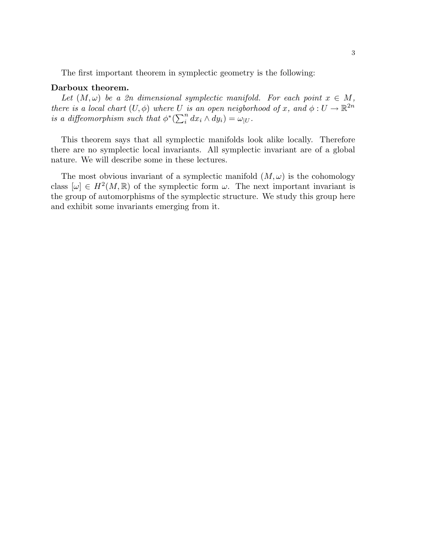The first important theorem in symplectic geometry is the following:

### Darboux theorem.

Let  $(M, \omega)$  be a 2n dimensional symplectic manifold. For each point  $x \in M$ , there is a local chart  $(U, \phi)$  where U is an open neigborhood of x, and  $\phi: U \to \mathbb{R}^{2n}$ is a diffeomorphism such that  $\phi^*(\sum_i^n dx_i \wedge dy_i) = \omega_{|U}$ .

This theorem says that all symplectic manifolds look alike locally. Therefore there are no symplectic local invariants. All symplectic invariant are of a global nature. We will describe some in these lectures.

The most obvious invariant of a symplectic manifold  $(M, \omega)$  is the cohomology class  $[\omega] \in H^2(M,\mathbb{R})$  of the symplectic form  $\omega$ . The next important invariant is the group of automorphisms of the symplectic structure. We study this group here and exhibit some invariants emerging from it.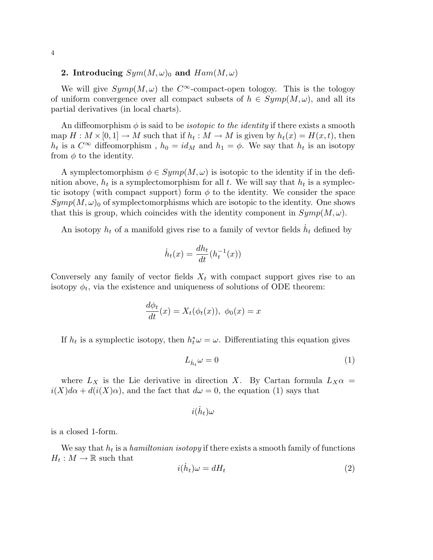# 2. Introducing  $Sym(M,\omega)_0$  and  $Ham(M,\omega)$

We will give  $Symp(M, \omega)$  the  $C^{\infty}$ -compact-open tologoy. This is the tologoy of uniform convergence over all compact subsets of  $h \in Symp(M, \omega)$ , and all its partial derivatives (in local charts).

An diffeomorphism  $\phi$  is said to be *isotopic to the identity* if there exists a smooth map  $H: M \times [0, 1] \to M$  such that if  $h_t: M \to M$  is given by  $h_t(x) = H(x, t)$ , then  $h_t$  is a  $C^{\infty}$  diffeomorphism,  $h_0 = id_M$  and  $h_1 = \phi$ . We say that  $h_t$  is an isotopy from  $\phi$  to the identity.

A symplectomorphism  $\phi \in Symp(M, \omega)$  is isotopic to the identity if in the definition above,  $h_t$  is a symplectomorphism for all t. We will say that  $h_t$  is a symplectic isotopy (with compact support) form  $\phi$  to the identity. We consider the space  $Symp(M, \omega)$ <sub>0</sub> of symplectomorphisms which are isotopic to the identity. One shows that this is group, which coincides with the identity component in  $Symp(M, \omega)$ .

An isotopy  $h_t$  of a manifold gives rise to a family of vevtor fields  $\dot{h}_t$  defined by

$$
\dot{h}_t(x) = \frac{dh_t}{dt}(h_t^{-1}(x))
$$

Conversely any family of vector fields  $X_t$  with compact support gives rise to an isotopy  $\phi_t$ , via the existence and uniqueness of solutions of ODE theorem:

$$
\frac{d\phi_t}{dt}(x) = X_t(\phi_t(x)), \ \phi_0(x) = x
$$

If  $h_t$  is a symplectic isotopy, then  $h_t^* \omega = \omega$ . Differentiating this equation gives

$$
L_{\dot{h}_t}\omega = 0\tag{1}
$$

where  $L_X$  is the Lie derivative in direction X. By Cartan formula  $L_X\alpha =$  $i(X)d\alpha + d(i(X)\alpha)$ , and the fact that  $d\omega = 0$ , the equation (1) says that

$$
i(\dot{h}_t)\omega
$$

is a closed 1-form.

We say that  $h_t$  is a hamiltonian isotopy if there exists a smooth family of functions  $H_t: M \to \mathbb{R}$  such that

$$
i(\dot{h}_t)\omega = dH_t \tag{2}
$$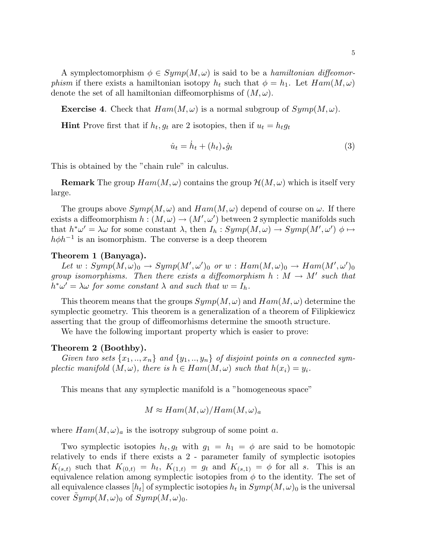A symplectomorphism  $\phi \in Symp(M, \omega)$  is said to be a *hamiltonian diffeomorphism* if there exists a hamiltonian isotopy  $h_t$  such that  $\phi = h_1$ . Let  $Ham(M, \omega)$ denote the set of all hamiltonian diffeomorphisms of  $(M, \omega)$ .

**Exercise 4.** Check that  $Ham(M, \omega)$  is a normal subgroup of  $Symp(M, \omega)$ .

**Hint** Prove first that if  $h_t, g_t$  are 2 isotopies, then if  $u_t = h_t g_t$ 

$$
\dot{u}_t = \dot{h}_t + (h_t)_* \dot{g}_t \tag{3}
$$

This is obtained by the "chain rule" in calculus.

**Remark** The group  $Ham(M, \omega)$  contains the group  $\mathcal{H}(M, \omega)$  which is itself very large.

The groups above  $Symp(M, \omega)$  and  $Ham(M, \omega)$  depend of course on  $\omega$ . If there exists a diffeomorphism  $h : (M, \omega) \to (M', \omega')$  between 2 symplectic manifolds such that  $h^*\omega' = \lambda \omega$  for some constant  $\lambda$ , then  $I_h: Symp(M, \omega) \to Symp(M', \omega')$   $\phi \mapsto$  $h\phi h^{-1}$  is an isomorphism. The converse is a deep theorem

## Theorem 1 (Banyaga).

Let  $w: Symp(M, \omega)_0 \to Symp(M', \omega')_0$  or  $w: Ham(M, \omega)_0 \to Ham(M', \omega')_0$ group isomorphisms. Then there exists a diffeomorphism  $h : M \to M'$  such that  $h^*\omega' = \lambda \omega$  for some constant  $\lambda$  and such that  $w = I_h$ .

This theorem means that the groups  $Symp(M, \omega)$  and  $Ham(M, \omega)$  determine the symplectic geometry. This theorem is a generalization of a theorem of Filipkiewicz asserting that the group of diffeomorhisms determine the smooth structure.

We have the following important property which is easier to prove:

### Theorem 2 (Boothby).

Given two sets  $\{x_1, ..., x_n\}$  and  $\{y_1, ..., y_n\}$  of disjoint points on a connected symplectic manifold  $(M, \omega)$ , there is  $h \in Ham(M, \omega)$  such that  $h(x_i) = y_i$ .

This means that any symplectic manifold is a "homogeneous space"

$$
M \approx Ham(M, \omega) / Ham(M, \omega)_a
$$

where  $Ham(M, \omega)<sub>a</sub>$  is the isotropy subgroup of some point a.

Two symplectic isotopies  $h_t, g_t$  with  $g_1 = h_1 = \phi$  are said to be homotopic relatively to ends if there exists a 2 - parameter family of symplectic isotopies  $K_{(s,t)}$  such that  $K_{(0,t)} = h_t$ ,  $K_{(1,t)} = g_t$  and  $K_{(s,1)} = \phi$  for all s. This is an equivalence relation among symplectic isotopies from  $\phi$  to the identity. The set of all equivalence classes  $[h_t]$  of symplectic isotopies  $h_t$  in  $Symp(M, \omega)_0$  is the universal cover  $\widetilde{Symp}(M,\omega)_0$  of  $Symp(M,\omega)_0$ .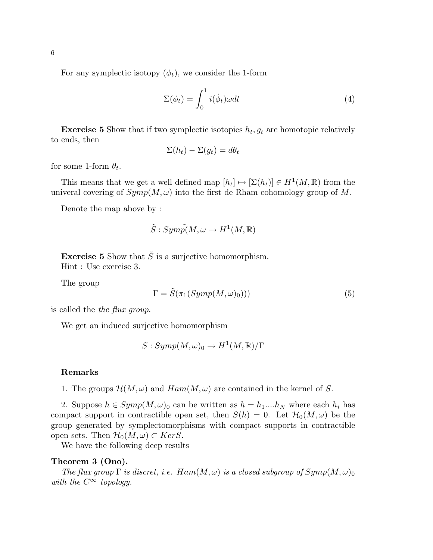For any symplectic isotopy  $(\phi_t)$ , we consider the 1-form

$$
\Sigma(\phi_t) = \int_0^1 i(\dot{\phi}_t) \omega dt \tag{4}
$$

**Exercise 5** Show that if two symplectic isotopies  $h_t, g_t$  are homotopic relatively to ends, then

$$
\Sigma(h_t) - \Sigma(g_t) = d\theta_t
$$

for some 1-form  $\theta_t$ .

This means that we get a well defined map  $[h_t] \mapsto [\Sigma(h_t)] \in H^1(M, \mathbb{R})$  from the univeral covering of  $Symp(M, \omega)$  into the first de Rham cohomology group of M.

Denote the map above by :

$$
\tilde{S}:Symp\tilde{p}(M,\omega \to H^1(M,\mathbb{R}))
$$

**Exercise 5** Show that  $\tilde{S}$  is a surjective homomorphism. Hint : Use exercise 3.

The group

$$
\Gamma = \tilde{S}(\pi_1(Symp(M,\omega)_0)))\tag{5}
$$

is called the the flux group.

We get an induced surjective homomorphism

 $S:Symp(M,\omega)_0\rightarrow H^1(M,\mathbb{R})/\Gamma$ 

### Remarks

1. The groups  $\mathcal{H}(M,\omega)$  and  $Ham(M,\omega)$  are contained in the kernel of S.

2. Suppose  $h \in Symp(M, \omega)_0$  can be written as  $h = h_1...h_N$  where each  $h_i$  has compact support in contractible open set, then  $S(h) = 0$ . Let  $\mathcal{H}_0(M, \omega)$  be the group generated by symplectomorphisms with compact supports in contractible open sets. Then  $\mathcal{H}_0(M,\omega) \subset Ker S$ .

We have the following deep results

## Theorem 3 (Ono).

The flux group  $\Gamma$  is discret, i.e.  $Ham(M, \omega)$  is a closed subgroup of  $Symp(M, \omega)_0$ with the  $C^{\infty}$  topology.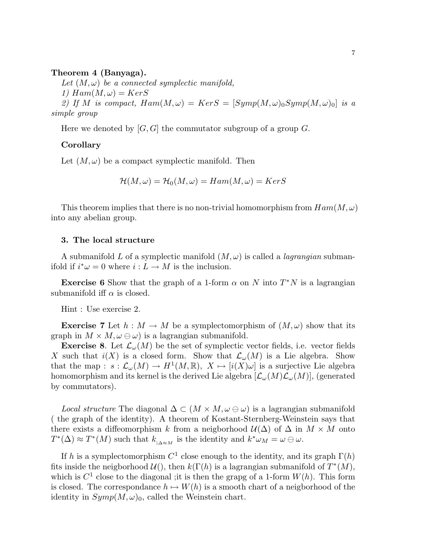## Theorem 4 (Banyaga).

Let  $(M, \omega)$  be a connected symplectic manifold,

1)  $Ham(M, \omega) = KerS$ 

2) If M is compact,  $Ham(M, \omega) = Ker S = [Symp(M, \omega)_0 Symp(M, \omega)_0]$  is a simple group

Here we denoted by  $[G, G]$  the commutator subgroup of a group G.

## Corollary

Let  $(M, \omega)$  be a compact symplectic manifold. Then

$$
\mathcal{H}(M,\omega) = \mathcal{H}_0(M,\omega) = Ham(M,\omega) = KerS
$$

This theorem implies that there is no non-trivial homomorphism from  $Ham(M, \omega)$ into any abelian group.

## 3. The local structure

A submanifold L of a symplectic manifold  $(M, \omega)$  is called a *lagrangian* submanifold if  $i^*\omega = 0$  where  $i: L \to M$  is the inclusion.

**Exercise 6** Show that the graph of a 1-form  $\alpha$  on N into  $T^*N$  is a lagrangian submanifold iff  $\alpha$  is closed.

Hint : Use exercise 2.

**Exercise** 7 Let  $h : M \to M$  be a symplectomorphism of  $(M, \omega)$  show that its graph in  $M \times M$ ,  $\omega \ominus \omega$ ) is a lagrangian submanifold.

**Exercise 8.** Let  $\mathcal{L}_{\omega}(M)$  be the set of symplectic vector fields, i.e. vector fields X such that  $i(X)$  is a closed form. Show that  $\mathcal{L}_{\omega}(M)$  is a Lie algebra. Show that the map :  $s : \mathcal{L}_{\omega}(M) \to H^1(M, \mathbb{R}), X \mapsto [i(X)\omega]$  is a surjective Lie algebra homomorphism and its kernel is the derived Lie algebra  $[\mathcal{L}_{\omega}(M)\mathcal{L}_{\omega}(M)]$ , (generated by commutators).

*Local structure* The diagonal  $\Delta \subset (M \times M, \omega \oplus \omega)$  is a lagrangian submanifold ( the graph of the identity). A theorem of Kostant-Sternberg-Weinstein says that there exists a diffeomorphism k from a neigborhood  $\mathcal{U}(\Delta)$  of  $\Delta$  in  $M \times M$  onto  $T^*(\Delta) \approx T^*(M)$  such that  $k_{\vert \Delta \approx M}$  is the identity and  $k^* \omega_M = \omega \oplus \omega$ .

If h is a symplectomorphism  $C^1$  close enough to the identity, and its graph  $\Gamma(h)$ fits inside the neigborhood  $\mathcal{U}(t)$ , then  $k(\Gamma(h))$  is a lagrangian submanifold of  $T^*(M)$ , which is  $C^1$  close to the diagonal ; it is then the grapg of a 1-form  $W(h)$ . This form is closed. The correspondance  $h \mapsto W(h)$  is a smooth chart of a neigborhood of the identity in  $Symp(M, \omega)_0$ , called the Weinstein chart.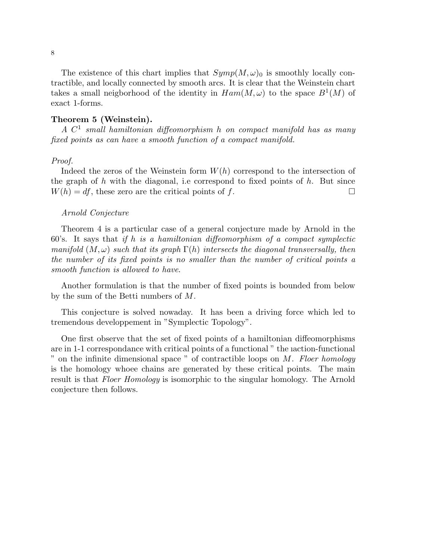The existence of this chart implies that  $Symp(M,\omega)_0$  is smoothly locally contractible, and locally connected by smooth arcs. It is clear that the Weinstein chart takes a small neigborhood of the identity in  $Ham(M, \omega)$  to the space  $B^1(M)$  of exact 1-forms.

# Theorem 5 (Weinstein).

 $A \, C<sup>1</sup>$  small hamiltonian diffeomorphism h on compact manifold has as many fixed points as can have a smooth function of a compact manifold.

### Proof.

Indeed the zeros of the Weinstein form  $W(h)$  correspond to the intersection of the graph of h with the diagonal, i.e correspond to fixed points of  $h$ . But since  $W(h) = df$ , these zero are the critical points of f.

### Arnold Conjecture

Theorem 4 is a particular case of a general conjecture made by Arnold in the 60's. It says that if h is a hamiltonian diffeomorphism of a compact symplectic manifold  $(M, \omega)$  such that its graph  $\Gamma(h)$  intersects the diagonal transversally, then the number of its fixed points is no smaller than the number of critical points a smooth function is allowed to have.

Another formulation is that the number of fixed points is bounded from below by the sum of the Betti numbers of M.

This conjecture is solved nowaday. It has been a driving force which led to tremendous developpement in "Symplectic Topology".

One first observe that the set of fixed points of a hamiltonian diffeomorphisms are in 1-1 correspondance with critical points of a functional " the ıaction-functional " on the infinite dimensional space " of contractible loops on  $M$ . Floer homology is the homology whoee chains are generated by these critical points. The main result is that Floer Homology is isomorphic to the singular homology. The Arnold conjecture then follows.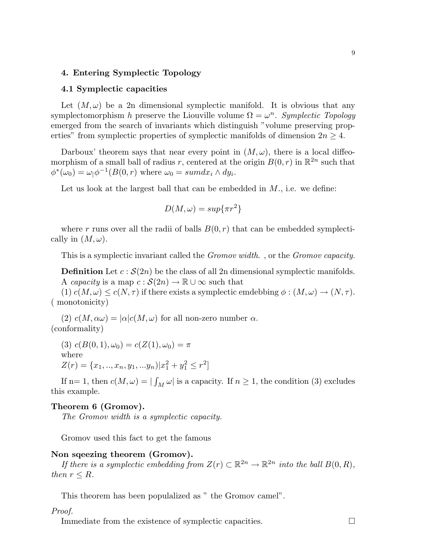### 4. Entering Symplectic Topology

## 4.1 Symplectic capacities

Let  $(M, \omega)$  be a 2n dimensional symplectic manifold. It is obvious that any symplectomorphism h preserve the Liouville volume  $\Omega = \omega^n$ . Symplectic Topology emerged from the search of invariants which distinguish "volume preserving properties" from symplectic properties of symplectic manifolds of dimension  $2n \geq 4$ .

Darboux' theorem says that near every point in  $(M, \omega)$ , there is a local diffeomorphism of a small ball of radius r, centered at the origin  $B(0,r)$  in  $\mathbb{R}^{2n}$  such that  $\phi^*(\omega_0) = \omega_0 \phi^{-1}(B(0,r))$  where  $\omega_0 = \text{sum} dx_i \wedge dy_i$ .

Let us look at the largest ball that can be embedded in  $M$ ., i.e. we define:

$$
D(M,\omega) = \sup\{\pi r^2\}
$$

where r runs over all the radii of balls  $B(0, r)$  that can be embedded symplectically in  $(M, \omega)$ .

This is a symplectic invariant called the Gromov width. , or the Gromov capacity.

**Definition** Let  $c : \mathcal{S}(2n)$  be the class of all 2n dimensional symplectic manifolds. A capacity is a map  $c : \mathcal{S}(2n) \to \mathbb{R} \cup \infty$  such that

(1)  $c(M, \omega) \leq c(N, \tau)$  if there exists a symplectic emdebbing  $\phi : (M, \omega) \to (N, \tau)$ . ( monotonicity)

(2)  $c(M, \alpha\omega) = |\alpha|c(M, \omega)$  for all non-zero number  $\alpha$ . (conformality)

(3)  $c(B(0, 1), \omega_0) = c(Z(1), \omega_0) = \pi$ where  $Z(r) = \{x_1, ..., x_n, y_1, ... y_n | x_1^2 + y_1^2 \leq r^2\}$ 

If n= 1, then  $c(M, \omega) = |\int_M \omega|$  is a capacity. If  $n \ge 1$ , the condition (3) excludes this example.

## Theorem 6 (Gromov).

The Gromov width is a symplectic capacity.

Gromov used this fact to get the famous

# Non sqeezing theorem (Gromov).

If there is a symplectic embedding from  $Z(r) \subset \mathbb{R}^{2n} \to \mathbb{R}^{2n}$  into the ball  $B(0, R)$ , then  $r \leq R$ .

This theorem has been populalized as " the Gromov camel".

# Proof.

Immediate from the existence of symplectic capacities.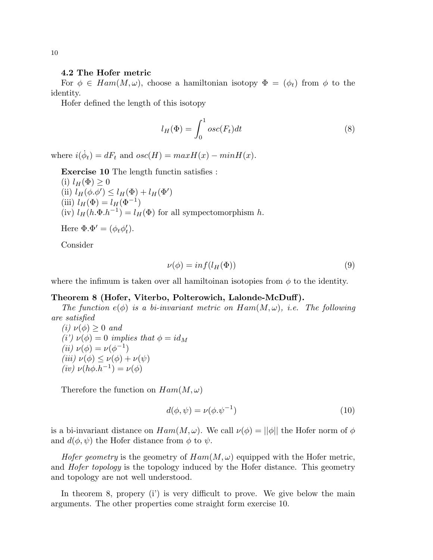#### 4.2 The Hofer metric

For  $\phi \in Ham(M, \omega)$ , choose a hamiltonian isotopy  $\Phi = (\phi_t)$  from  $\phi$  to the identity.

Hofer defined the length of this isotopy

$$
l_H(\Phi) = \int_0^1 osc(F_t)dt
$$
\n(8)

where  $i(\dot{\phi}_t) = dF_t$  and  $osc(H) = maxH(x) - minH(x)$ .

Exercise 10 The length functin satisfies :

\n- (i) 
$$
l_H(\Phi) \geq 0
$$
\n- (ii)  $l_H(\phi, \phi') \leq l_H(\Phi) + l_H(\Phi')$
\n- (iii)  $l_H(\Phi) = l_H(\Phi^{-1})$
\n- (iv)  $l_H(h.\Phi.h^{-1}) = l_H(\Phi)$  for all sympectomorphism  $h$ .
\n

Here  $\Phi \cdot \Phi' = (\phi_t \phi'_t).$ 

Consider

$$
\nu(\phi) = \inf(l_H(\Phi))
$$
\n(9)

where the infimum is taken over all hamiltoinan isotopies from  $\phi$  to the identity.

#### Theorem 8 (Hofer, Viterbo, Polterowich, Lalonde-McDuff).

The function  $e(\phi)$  is a bi-invariant metric on  $Ham(M, \omega)$ , i.e. The following are satisfied

(i)  $\nu(\phi) \geq 0$  and (i')  $\nu(\phi) = 0$  implies that  $\phi = id_M$ (*ii*)  $\nu(\phi) = \nu(\phi^{-1})$ (iii)  $\nu(\phi) \leq \nu(\phi) + \nu(\psi)$ (iv)  $\nu(h\phi.h^{-1}) = \nu(\phi)$ 

Therefore the function on  $Ham(M, \omega)$ 

$$
d(\phi, \psi) = \nu(\phi \cdot \psi^{-1})
$$
\n(10)

is a bi-invariant distance on  $Ham(M, \omega)$ . We call  $\nu(\phi) = ||\phi||$  the Hofer norm of  $\phi$ and  $d(\phi, \psi)$  the Hofer distance from  $\phi$  to  $\psi$ .

Hofer geometry is the geometry of  $Ham(M, \omega)$  equipped with the Hofer metric, and *Hofer topology* is the topology induced by the Hofer distance. This geometry and topology are not well understood.

In theorem 8, propery (i') is very difficult to prove. We give below the main arguments. The other properties come straight form exercise 10.